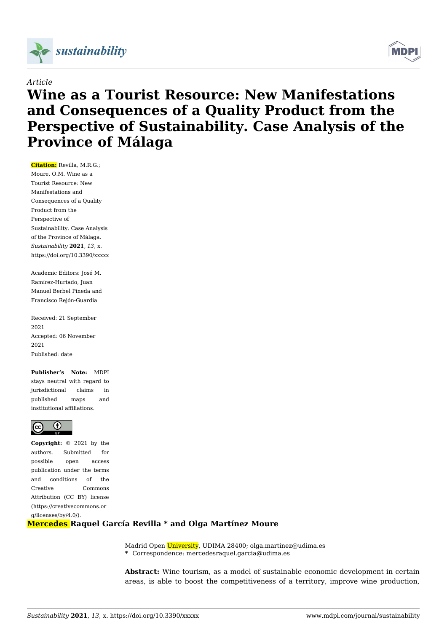



# **Wine as a Tourist Resource: New Manifestations and Consequences of a Quality Product from the Perspective of Sustainability. Case Analysis of the Province of Málaga**

**Citation:** Revilla, M.R.G.; Moure, O.M. Wine as a Tourist Resource: New Manifestations and Consequences of a Quality Product from the Perspective of Sustainability. Case Analysis of the Province of Málaga. *Sustainability* **2021**, *13*, x. https://doi.org/10.3390/xxxxx

Academic Editors: José M. Ramírez-Hurtado, Juan Manuel Berbel Pineda and Francisco Rejón-Guardia

Received: 21 September 2021 Accepted: 06 November 2021 Published: date

**Publisher's Note:** MDPI stays neutral with regard to jurisdictional claims in published maps and institutional affiliations.



**Copyright:** © 2021 by the authors. Submitted for possible open access publication under the terms and conditions of the Creative Commons Attribution (CC BY) license (https://creativecommons.or g/licenses/by/4.0/).

**Mercedes Raquel García Revilla \* and Olga Martínez Moure**

Madrid Open University, UDIMA 28400; olga.martinez@udima.es **\*** Correspondence: mercedesraquel.garcia@udima.es

**Abstract:** Wine tourism, as a model of sustainable economic development in certain areas, is able to boost the competitiveness of a territory, improve wine production,

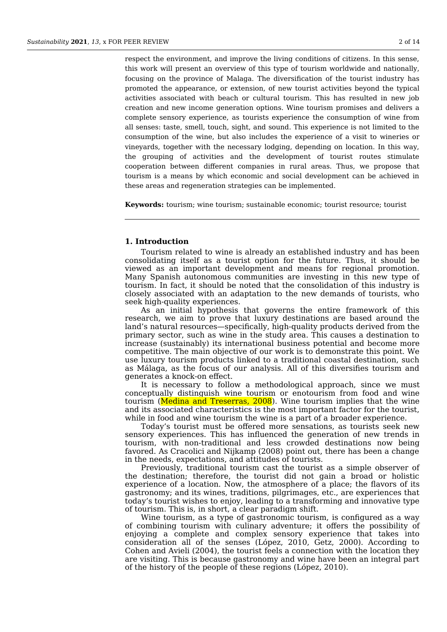respect the environment, and improve the living conditions of citizens. In this sense, this work will present an overview of this type of tourism worldwide and nationally, focusing on the province of Malaga. The diversification of the tourist industry has promoted the appearance, or extension, of new tourist activities beyond the typical activities associated with beach or cultural tourism. This has resulted in new job creation and new income generation options. Wine tourism promises and delivers a complete sensory experience, as tourists experience the consumption of wine from all senses: taste, smell, touch, sight, and sound. This experience is not limited to the consumption of the wine, but also includes the experience of a visit to wineries or vineyards, together with the necessary lodging, depending on location. In this way, the grouping of activities and the development of tourist routes stimulate cooperation between different companies in rural areas. Thus, we propose that tourism is a means by which economic and social development can be achieved in these areas and regeneration strategies can be implemented.

**Keywords:** tourism; wine tourism; sustainable economic; tourist resource; tourist

## **1. Introduction**

Tourism related to wine is already an established industry and has been consolidating itself as a tourist option for the future. Thus, it should be viewed as an important development and means for regional promotion. Many Spanish autonomous communities are investing in this new type of tourism. In fact, it should be noted that the consolidation of this industry is closely associated with an adaptation to the new demands of tourists, who seek high-quality experiences.

As an initial hypothesis that governs the entire framework of this research, we aim to prove that luxury destinations are based around the land's natural resources—specifically, high-quality products derived from the primary sector, such as wine in the study area. This causes a destination to increase (sustainably) its international business potential and become more competitive. The main objective of our work is to demonstrate this point. We use luxury tourism products linked to a traditional coastal destination, such as Málaga, as the focus of our analysis. All of this diversifies tourism and generates a knock-on effect.

It is necessary to follow a methodological approach, since we must conceptually distinguish wine tourism or enotourism from food and wine tourism (Medina and Treserras, 2008). Wine tourism implies that the wine and its associated characteristics is the most important factor for the tourist, while in food and wine tourism the wine is a part of a broader experience.

Today's tourist must be offered more sensations, as tourists seek new sensory experiences. This has influenced the generation of new trends in tourism, with non-traditional and less crowded destinations now being favored. As Cracolici and Nijkamp (2008) point out, there has been a change in the needs, expectations, and attitudes of tourists.

Previously, traditional tourism cast the tourist as a simple observer of the destination; therefore, the tourist did not gain a broad or holistic experience of a location. Now, the atmosphere of a place; the flavors of its gastronomy; and its wines, traditions, pilgrimages, etc., are experiences that today's tourist wishes to enjoy, leading to a transforming and innovative type of tourism. This is, in short, a clear paradigm shift.

Wine tourism, as a type of gastronomic tourism, is configured as a way of combining tourism with culinary adventure; it offers the possibility of enjoying a complete and complex sensory experience that takes into consideration all of the senses (López, 2010, Getz, 2000). According to Cohen and Avieli (2004), the tourist feels a connection with the location they are visiting. This is because gastronomy and wine have been an integral part of the history of the people of these regions (López, 2010).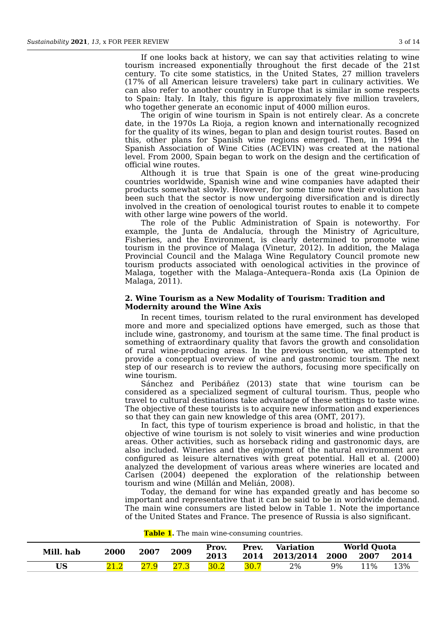If one looks back at history, we can say that activities relating to wine tourism increased exponentially throughout the first decade of the 21st century. To cite some statistics, in the United States, 27 million travelers (17% of all American leisure travelers) take part in culinary activities. We can also refer to another country in Europe that is similar in some respects to Spain: Italy. In Italy, this figure is approximately five million travelers, who together generate an economic input of 4000 million euros.

The origin of wine tourism in Spain is not entirely clear. As a concrete date, in the 1970s La Rioja, a region known and internationally recognized for the quality of its wines, began to plan and design tourist routes. Based on this, other plans for Spanish wine regions emerged. Then, in 1994 the Spanish Association of Wine Cities (ACEVIN) was created at the national level. From 2000, Spain began to work on the design and the certification of official wine routes.

Although it is true that Spain is one of the great wine-producing countries worldwide, Spanish wine and wine companies have adapted their products somewhat slowly. However, for some time now their evolution has been such that the sector is now undergoing diversification and is directly involved in the creation of oenological tourist routes to enable it to compete with other large wine powers of the world.

The role of the Public Administration of Spain is noteworthy. For example, the Junta de Andalucía, through the Ministry of Agriculture, Fisheries, and the Environment, is clearly determined to promote wine tourism in the province of Malaga (Vinetur, 2012). In addition, the Malaga Provincial Council and the Malaga Wine Regulatory Council promote new tourism products associated with oenological activities in the province of Malaga, together with the Malaga–Antequera–Ronda axis (La Opinion de Malaga, 2011).

## **2. Wine Tourism as a New Modality of Tourism: Tradition and Modernity around the Wine Axis**

In recent times, tourism related to the rural environment has developed more and more and specialized options have emerged, such as those that include wine, gastronomy, and tourism at the same time. The final product is something of extraordinary quality that favors the growth and consolidation of rural wine-producing areas. In the previous section, we attempted to provide a conceptual overview of wine and gastronomic tourism. The next step of our research is to review the authors, focusing more specifically on wine tourism.

Sánchez and Peribáñez (2013) state that wine tourism can be considered as a specialized segment of cultural tourism. Thus, people who travel to cultural destinations take advantage of these settings to taste wine. The objective of these tourists is to acquire new information and experiences so that they can gain new knowledge of this area (OMT, 2017).

In fact, this type of tourism experience is broad and holistic, in that the objective of wine tourism is not solely to visit wineries and wine production areas. Other activities, such as horseback riding and gastronomic days, are also included. Wineries and the enjoyment of the natural environment are configured as leisure alternatives with great potential. Hall et al. (2000) analyzed the development of various areas where wineries are located and Carlsen (2004) deepened the exploration of the relationship between tourism and wine (Millán and Melián, 2008).

Today, the demand for wine has expanded greatly and has become so important and representative that it can be said to be in worldwide demand. The main wine consumers are listed below in Table 1. Note the importance of the United States and France. The presence of Russia is also significant.

|  |  | Table 1. The main wine-consuming countries. |
|--|--|---------------------------------------------|
|  |  |                                             |

| Mill. hab | 2007<br>2000 | 2009 | Prov.        | Prev. | <b>Variation</b> |           | <b>World Quota</b> |      |      |
|-----------|--------------|------|--------------|-------|------------------|-----------|--------------------|------|------|
|           |              |      |              | 2013  | 2014             | 2013/2014 | 2000               | 2007 | 2014 |
| US        | n1n          | 27.9 | ר דר<br>ں. ت | 30.2  | 30.7             | 2%        | 9%                 | 11%  | 13%  |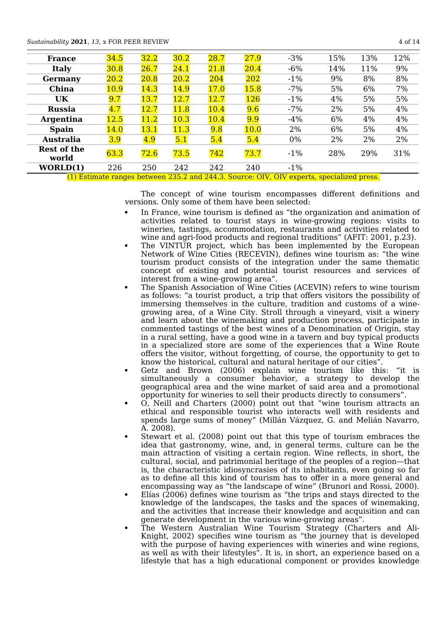*Sustainability* **2021**, *13*, x FOR PEER REVIEW 4 of 14

| <b>France</b>               | 34.5 | 32.2 | 30.2 | 28.7 | 27.9 | $-3%$  | 15% | 13% | 12% |
|-----------------------------|------|------|------|------|------|--------|-----|-----|-----|
| <b>Italy</b>                | 30.8 | 26.7 | 24.1 | 21.8 | 20.4 | $-6%$  | 14% | 11% | 9%  |
| <b>Germany</b>              | 20.2 | 20.8 | 20.2 | 204  | 202  | $-1\%$ | 9%  | 8%  | 8%  |
| China                       | 10.9 | 14.3 | 14.9 | 17.0 | 15.8 | $-7%$  | 5%  | 6%  | 7%  |
| UK                          | 9.7  | 13.7 | 12.7 | 12.7 | 126  | $-1\%$ | 4%  | 5%  | 5%  |
| <b>Russia</b>               | 4.7  | 12.7 | 11.8 | 10.4 | 9.6  | $-7%$  | 2%  | 5%  | 4%  |
| Argentina                   | 12.5 | 11.2 | 10.3 | 10.4 | 9.9  | $-4%$  | 6%  | 4%  | 4%  |
| <b>Spain</b>                | 14.0 | 13.1 | 11.3 | 9.8  | 10.0 | 2%     | 6%  | 5%  | 4%  |
| Australia                   | 3.9  | 4.9  | 5.1  | 5.4  | 5.4  | 0%     | 2%  | 2%  | 2%  |
| <b>Rest of the</b><br>world | 63.3 | 72.6 | 73.5 | 742  | 73.7 | $-1\%$ | 28% | 29% | 31% |
| WORLD(1)                    | 226  | 250  | 242  | 242  | 240  | $-1\%$ |     |     |     |

(1) Estimate ranges between 235.2 and 244.3. Source: OIV, OIV experts, specialized press.

The concept of wine tourism encompasses different definitions and versions. Only some of them have been selected:

- In France, wine tourism is defined as "the organization and animation of activities related to tourist stays in wine-growing regions: visits to wineries, tastings, accommodation, restaurants and activities related to wine and agri-food products and regional traditions" (AFIT: 2001, p.23).
- The VINTUR project, which has been implemented by the European Network of Wine Cities (RECEVIN), defines wine tourism as: "the wine tourism product consists of the integration under the same thematic concept of existing and potential tourist resources and services of interest from a wine-growing area".
- The Spanish Association of Wine Cities (ACEVIN) refers to wine tourism as follows: "a tourist product, a trip that offers visitors the possibility of immersing themselves in the culture, tradition and customs of a winegrowing area, of a Wine City. Stroll through a vineyard, visit a winery and learn about the winemaking and production process, participate in commented tastings of the best wines of a Denomination of Origin, stay in a rural setting, have a good wine in a tavern and buy typical products in a specialized store are some of the experiences that a Wine Route offers the visitor, without forgetting, of course, the opportunity to get to know the historical, cultural and natural heritage of our cities".
- Getz and Brown (2006) explain wine tourism like this: "it is simultaneously a consumer behavior, a strategy to develop the geographical area and the wine market of said area and a promotional opportunity for wineries to sell their products directly to consumers".
- O, Neill and Charters (2000) point out that "wine tourism attracts an ethical and responsible tourist who interacts well with residents and spends large sums of money" (Millán Vázquez, G. and Melián Navarro, A. 2008).
- Stewart et al. (2008) point out that this type of tourism embraces the idea that gastronomy, wine, and, in general terms, culture can be the main attraction of visiting a certain region. Wine reflects, in short, the cultural, social, and patrimonial heritage of the peoples of a region—that is, the characteristic idiosyncrasies of its inhabitants, even going so far as to define all this kind of tourism has to offer in a more general and encompassing way as "the landscape of wine" (Brunori and Rossi, 2000).
- Elías (2006) defines wine tourism as "the trips and stays directed to the knowledge of the landscapes, the tasks and the spaces of winemaking, and the activities that increase their knowledge and acquisition and can generate development in the various wine-growing areas".
- The Western Australian Wine Tourism Strategy (Charters and Ali-Knight, 2002) specifies wine tourism as "the journey that is developed with the purpose of having experiences with wineries and wine regions, as well as with their lifestyles". It is, in short, an experience based on a lifestyle that has a high educational component or provides knowledge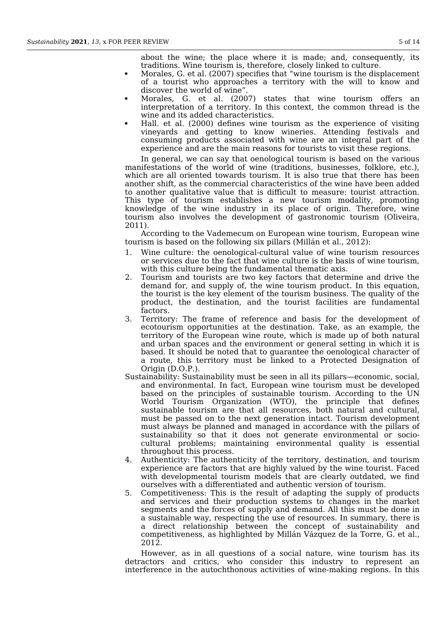about the wine; the place where it is made; and, consequently, its traditions. Wine tourism is, therefore, closely linked to culture.

- Morales, G. et al. (2007) specifies that "wine tourism is the displacement of a tourist who approaches a territory with the will to know and discover the world of wine".
- Morales, G. et al. (2007) states that wine tourism offers an interpretation of a territory. In this context, the common thread is the wine and its added characteristics.
- Hall. et al. (2000) defines wine tourism as the experience of visiting vineyards and getting to know wineries. Attending festivals and consuming products associated with wine are an integral part of the experience and are the main reasons for tourists to visit these regions.

In general, we can say that oenological tourism is based on the various manifestations of the world of wine (traditions, businesses, folklore, etc.), which are all oriented towards tourism. It is also true that there has been another shift, as the commercial characteristics of the wine have been added to another qualitative value that is difficult to measure: tourist attraction. This type of tourism establishes a new tourism modality, promoting knowledge of the wine industry in its place of origin. Therefore, wine tourism also involves the development of gastronomic tourism (Oliveira, 2011).

According to the Vademecum on European wine tourism, European wine tourism is based on the following six pillars (Millán et al., 2012):

- 1. Wine culture: the oenological-cultural value of wine tourism resources or services due to the fact that wine culture is the basis of wine tourism, with this culture being the fundamental thematic axis.
- 2. Tourism and tourists are two key factors that determine and drive the demand for, and supply of, the wine tourism product. In this equation, the tourist is the key element of the tourism business. The quality of the product, the destination, and the tourist facilities are fundamental factors.
- 3. Territory: The frame of reference and basis for the development of ecotourism opportunities at the destination. Take, as an example, the territory of the European wine route, which is made up of both natural and urban spaces and the environment or general setting in which it is based. It should be noted that to guarantee the oenological character of a route, this territory must be linked to a Protected Designation of Origin (D.O.P.).
- Sustainability: Sustainability must be seen in all its pillars—economic, social, and environmental. In fact, European wine tourism must be developed based on the principles of sustainable tourism. According to the UN World Tourism Organization (WTO), the principle that defines sustainable tourism are that all resources, both natural and cultural, must be passed on to the next generation intact. Tourism development must always be planned and managed in accordance with the pillars of sustainability so that it does not generate environmental or sociocultural problems; maintaining environmental quality is essential throughout this process.
- 4. Authenticity: The authenticity of the territory, destination, and tourism experience are factors that are highly valued by the wine tourist. Faced with developmental tourism models that are clearly outdated, we find ourselves with a differentiated and authentic version of tourism.
- 5. Competitiveness: This is the result of adapting the supply of products and services and their production systems to changes in the market segments and the forces of supply and demand. All this must be done in a sustainable way, respecting the use of resources. In summary, there is a direct relationship between the concept of sustainability and competitiveness, as highlighted by Millán Vázquez de la Torre, G. et al., 2012.

However, as in all questions of a social nature, wine tourism has its detractors and critics, who consider this industry to represent an interference in the autochthonous activities of wine-making regions. In this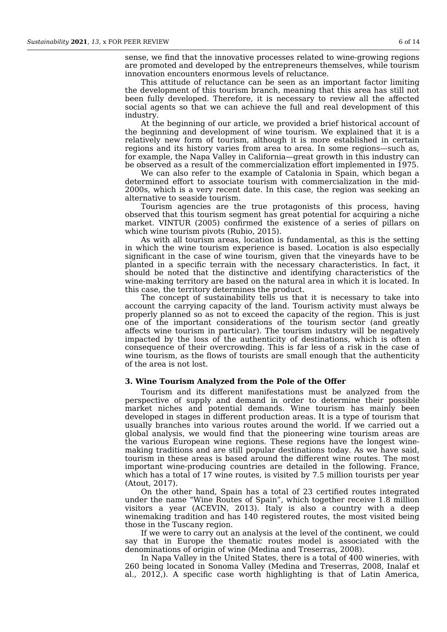sense, we find that the innovative processes related to wine-growing regions are promoted and developed by the entrepreneurs themselves, while tourism innovation encounters enormous levels of reluctance.

This attitude of reluctance can be seen as an important factor limiting the development of this tourism branch, meaning that this area has still not been fully developed. Therefore, it is necessary to review all the affected social agents so that we can achieve the full and real development of this industry.

At the beginning of our article, we provided a brief historical account of the beginning and development of wine tourism. We explained that it is a relatively new form of tourism, although it is more established in certain regions and its history varies from area to area. In some regions—such as, for example, the Napa Valley in California—great growth in this industry can be observed as a result of the commercialization effort implemented in 1975.

We can also refer to the example of Catalonia in Spain, which began a determined effort to associate tourism with commercialization in the mid-2000s, which is a very recent date. In this case, the region was seeking an alternative to seaside tourism.

Tourism agencies are the true protagonists of this process, having observed that this tourism segment has great potential for acquiring a niche market. VINTUR (2005) confirmed the existence of a series of pillars on which wine tourism pivots (Rubio, 2015).

As with all tourism areas, location is fundamental, as this is the setting in which the wine tourism experience is based. Location is also especially significant in the case of wine tourism, given that the vineyards have to be planted in a specific terrain with the necessary characteristics. In fact, it should be noted that the distinctive and identifying characteristics of the wine-making territory are based on the natural area in which it is located. In this case, the territory determines the product.

The concept of sustainability tells us that it is necessary to take into account the carrying capacity of the land. Tourism activity must always be properly planned so as not to exceed the capacity of the region. This is just one of the important considerations of the tourism sector (and greatly affects wine tourism in particular). The tourism industry will be negatively impacted by the loss of the authenticity of destinations, which is often a consequence of their overcrowding. This is far less of a risk in the case of wine tourism, as the flows of tourists are small enough that the authenticity of the area is not lost.

## **3. Wine Tourism Analyzed from the Pole of the Offer**

Tourism and its different manifestations must be analyzed from the perspective of supply and demand in order to determine their possible market niches and potential demands. Wine tourism has mainly been developed in stages in different production areas. It is a type of tourism that usually branches into various routes around the world. If we carried out a global analysis, we would find that the pioneering wine tourism areas are the various European wine regions. These regions have the longest winemaking traditions and are still popular destinations today. As we have said, tourism in these areas is based around the different wine routes. The most important wine-producing countries are detailed in the following. France, which has a total of 17 wine routes, is visited by 7.5 million tourists per year (Atout, 2017).

On the other hand, Spain has a total of 23 certified routes integrated under the name "Wine Routes of Spain", which together receive 1.8 million visitors a year (ACEVIN, 2013). Italy is also a country with a deep winemaking tradition and has 140 registered routes, the most visited being those in the Tuscany region.

If we were to carry out an analysis at the level of the continent, we could say that in Europe the thematic routes model is associated with the denominations of origin of wine (Medina and Treserras, 2008).

In Napa Valley in the United States, there is a total of 400 wineries, with 260 being located in Sonoma Valley (Medina and Treserras, 2008, Inalaf et al., 2012,). A specific case worth highlighting is that of Latin America,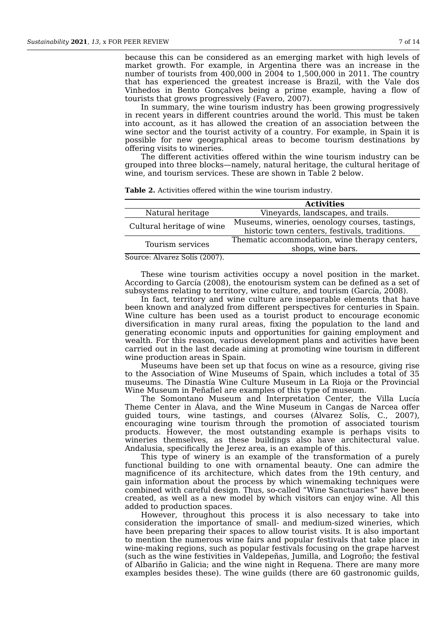because this can be considered as an emerging market with high levels of market growth. For example, in Argentina there was an increase in the number of tourists from 400,000 in 2004 to 1,500,000 in 2011. The country that has experienced the greatest increase is Brazil, with the Vale dos Vinhedos in Bento Gonçalves being a prime example, having a flow of tourists that grows progressively (Favero, 2007).

In summary, the wine tourism industry has been growing progressively in recent years in different countries around the world. This must be taken into account, as it has allowed the creation of an association between the wine sector and the tourist activity of a country. For example, in Spain it is possible for new geographical areas to become tourism destinations by offering visits to wineries.

The different activities offered within the wine tourism industry can be grouped into three blocks—namely, natural heritage, the cultural heritage of wine, and tourism services. These are shown in Table 2 below.

**Table 2.** Activities offered within the wine tourism industry.

|                                | <b>Activities</b>                                                                               |
|--------------------------------|-------------------------------------------------------------------------------------------------|
| Natural heritage               | Vineyards, landscapes, and trails.                                                              |
| Cultural heritage of wine      | Museums, wineries, oenology courses, tastings,<br>historic town centers, festivals, traditions. |
| Tourism services               | Thematic accommodation, wine therapy centers,<br>shops, wine bars.                              |
| $SOurco. Álvaroz Solíc (2007)$ |                                                                                                 |

Source: Álvarez Solís (2007).

These wine tourism activities occupy a novel position in the market. According to García (2008), the enotourism system can be defined as a set of subsystems relating to territory, wine culture, and tourism (García, 2008).

In fact, territory and wine culture are inseparable elements that have been known and analyzed from different perspectives for centuries in Spain. Wine culture has been used as a tourist product to encourage economic diversification in many rural areas, fixing the population to the land and generating economic inputs and opportunities for gaining employment and wealth. For this reason, various development plans and activities have been carried out in the last decade aiming at promoting wine tourism in different wine production areas in Spain.

Museums have been set up that focus on wine as a resource, giving rise to the Association of Wine Museums of Spain, which includes a total of 35 museums. The Dinastía Wine Culture Museum in La Rioja or the Provincial Wine Museum in Peñafiel are examples of this type of museum.

The Somontano Museum and Interpretation Center, the Villa Lucía Theme Center in Álava, and the Wine Museum in Cangas de Narcea offer guided tours, wine tastings, and courses (Álvarez Solís, C., 2007), encouraging wine tourism through the promotion of associated tourism products. However, the most outstanding example is perhaps visits to wineries themselves, as these buildings also have architectural value. Andalusia, specifically the Jerez area, is an example of this.

This type of winery is an example of the transformation of a purely functional building to one with ornamental beauty. One can admire the magnificence of its architecture, which dates from the 19th century, and gain information about the process by which winemaking techniques were combined with careful design. Thus, so-called "Wine Sanctuaries" have been created, as well as a new model by which visitors can enjoy wine. All this added to production spaces.

However, throughout this process it is also necessary to take into consideration the importance of small- and medium-sized wineries, which have been preparing their spaces to allow tourist visits. It is also important to mention the numerous wine fairs and popular festivals that take place in wine-making regions, such as popular festivals focusing on the grape harvest (such as the wine festivities in Valdepeñas, Jumilla, and Logroño; the festival of Albariño in Galicia; and the wine night in Requena. There are many more examples besides these). The wine guilds (there are 60 gastronomic guilds,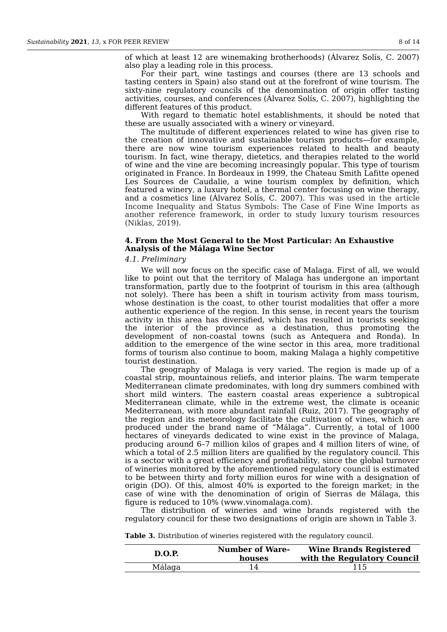of which at least 12 are winemaking brotherhoods) (Álvarez Solís, C. 2007) also play a leading role in this process.

For their part, wine tastings and courses (there are 13 schools and tasting centers in Spain) also stand out at the forefront of wine tourism. The sixty-nine regulatory councils of the denomination of origin offer tasting activities, courses, and conferences (Álvarez Solís, C. 2007), highlighting the different features of this product.

With regard to thematic hotel establishments, it should be noted that these are usually associated with a winery or vineyard.

The multitude of different experiences related to wine has given rise to the creation of innovative and sustainable tourism products—for example, there are now wine tourism experiences related to health and beauty tourism. In fact, wine therapy, dietetics, and therapies related to the world of wine and the vine are becoming increasingly popular. This type of tourism originated in France. In Bordeaux in 1999, the Chateau Smith Lafitte opened Les Sources de Caudalie, a wine tourism complex by definition, which featured a winery, a luxury hotel, a thermal center focusing on wine therapy, and a cosmetics line (Álvarez Solís, C. 2007). This was used in the article Income Inequality and Status Symbols: The Case of Fine Wine Imports as another reference framework, in order to study luxury tourism resources (Niklas, 2019).

## **4. From the Most General to the Most Particular: An Exhaustive Analysis of the Málaga Wine Sector**

#### *4.1. Preliminary*

We will now focus on the specific case of Malaga. First of all, we would like to point out that the territory of Malaga has undergone an important transformation, partly due to the footprint of tourism in this area (although not solely). There has been a shift in tourism activity from mass tourism, whose destination is the coast, to other tourist modalities that offer a more authentic experience of the region. In this sense, in recent years the tourism activity in this area has diversified, which has resulted in tourists seeking the interior of the province as a destination, thus promoting the development of non-coastal towns (such as Antequera and Ronda). In addition to the emergence of the wine sector in this area, more traditional forms of tourism also continue to boom, making Malaga a highly competitive tourist destination.

The geography of Malaga is very varied. The region is made up of a coastal strip, mountainous reliefs, and interior plains. The warm temperate Mediterranean climate predominates, with long dry summers combined with short mild winters. The eastern coastal areas experience a subtropical Mediterranean climate, while in the extreme west, the climate is oceanic Mediterranean, with more abundant rainfall (Ruiz, 2017). The geography of the region and its meteorology facilitate the cultivation of vines, which are produced under the brand name of "Málaga". Currently, a total of 1000 hectares of vineyards dedicated to wine exist in the province of Malaga, producing around 6–7 million kilos of grapes and 4 million liters of wine, of which a total of 2.5 million liters are qualified by the regulatory council. This is a sector with a great efficiency and profitability, since the global turnover of wineries monitored by the aforementioned regulatory council is estimated to be between thirty and forty million euros for wine with a designation of origin (DO). Of this, almost 40% is exported to the foreign market; in the case of wine with the denomination of origin of Sierras de Málaga, this figure is reduced to 10% (www.vinomalaga.com).

The distribution of wineries and wine brands registered with the regulatory council for these two designations of origin are shown in Table 3.

**Table 3.** Distribution of wineries registered with the regulatory council.

| <b>D.O.P.</b> | <b>Number of Ware-</b><br>houses | <b>Wine Brands Registered</b><br>with the Regulatory Council |
|---------------|----------------------------------|--------------------------------------------------------------|
| Málaga        | 14                               | 115                                                          |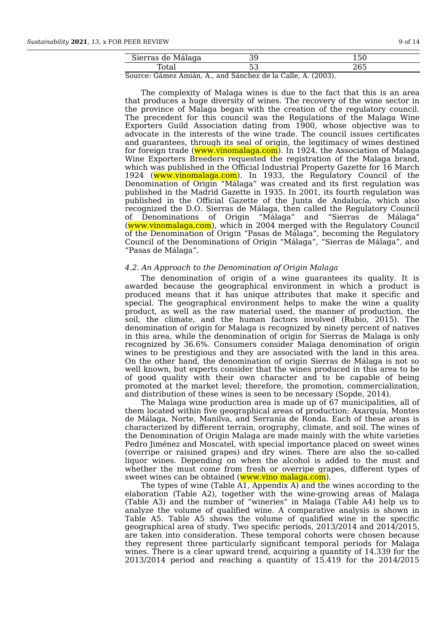| $\sim$ mno<br>ה זה ה<br>۱Α.<br>`← | . ٠.     | $\cdot$ = $\cdot$<br>$\overline{ }$ |
|-----------------------------------|----------|-------------------------------------|
| $\mathbf{m}$<br>Total             | - -<br>. | $\sim$ $\sim$<br>⊿∪ພ                |
|                                   | .        |                                     |

Source: Gámez Amián, A., and Sánchez de la Calle, A. (2003).

The complexity of Malaga wines is due to the fact that this is an area that produces a huge diversity of wines. The recovery of the wine sector in the province of Malaga began with the creation of the regulatory council. The precedent for this council was the Regulations of the Malaga Wine Exporters Guild Association dating from 1900, whose objective was to advocate in the interests of the wine trade. The council issues certificates and guarantees, through its seal of origin, the legitimacy of wines destined for foreign trade (www.vinomalaga.com). In 1924, the Association of Malaga Wine Exporters Breeders requested the registration of the Malaga brand, which was published in the Official Industrial Property Gazette for 16 March 1924 (www.vinomalaga.com). In 1933, the Regulatory Council of the Denomination of Origin "Málaga" was created and its first regulation was published in the Madrid Gazette in 1935. In 2001, its fourth regulation was published in the Official Gazette of the Junta de Andalucía, which also recognized the D.O. Sierras de Málaga, then called the Regulatory Council of Denominations of Origin "Málaga" and (www.vinomalaga.com), which in 2004 merged with the Regulatory Council of the Denomination of Origin "Pasas de Málaga", becoming the Regulatory Council of the Denominations of Origin "Málaga", "Sierras de Málaga", and "Pasas de Málaga".

## *4.2. An Approach to the Denomination of Origin Malaga*

The denomination of origin of a wine guarantees its quality. It is awarded because the geographical environment in which a product is produced means that it has unique attributes that make it specific and special. The geographical environment helps to make the wine a quality product, as well as the raw material used, the manner of production, the soil, the climate, and the human factors involved (Rubio, 2015). The denomination of origin for Malaga is recognized by ninety percent of natives in this area, while the denomination of origin for Sierras de Malaga is only recognized by 36.6%. Consumers consider Malaga denomination of origin wines to be prestigious and they are associated with the land in this area. On the other hand, the denomination of origin Sierras de Málaga is not so well known, but experts consider that the wines produced in this area to be of good quality with their own character and to be capable of being promoted at the market level; therefore, the promotion, commercialization, and distribution of these wines is seen to be necessary (Sopde, 2014).

The Malaga wine production area is made up of 67 municipalities, all of them located within five geographical areas of production: Axarquía, Montes de Málaga, Norte, Manilva, and Serranía de Ronda. Each of these areas is characterized by different terrain, orography, climate, and soil. The wines of the Denomination of Origin Malaga are made mainly with the white varieties Pedro Jiménez and Moscatel, with special importance placed on sweet wines (overripe or raisined grapes) and dry wines. There are also the so-called liquor wines. Depending on when the alcohol is added to the must and whether the must come from fresh or overripe grapes, different types of sweet wines can be obtained (www.vino malaga.com).

The types of wine (Table A1, Appendix A) and the wines according to the elaboration (Table A2), together with the wine-growing areas of Malaga (Table A3) and the number of "wineries" in Malaga (Table A4) help us to analyze the volume of qualified wine. A comparative analysis is shown in Table A5. Table A5 shows the volume of qualified wine in the specific geographical area of study. Two specific periods, 2013/2014 and 2014/2015, are taken into consideration. These temporal cohorts were chosen because they represent three particularly significant temporal periods for Malaga wines. There is a clear upward trend, acquiring a quantity of 14.339 for the 2013/2014 period and reaching a quantity of 15.419 for the 2014/2015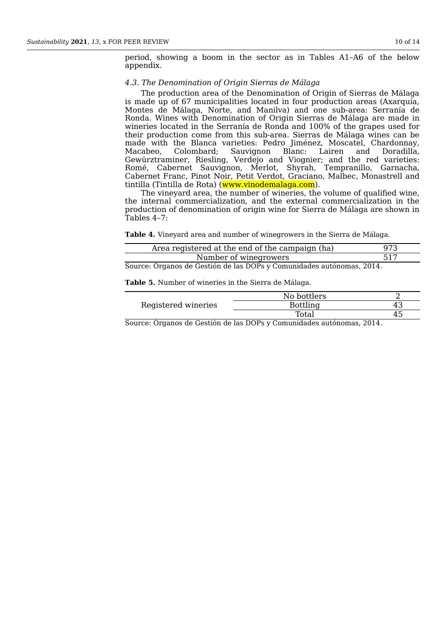period, showing a boom in the sector as in Tables A1–A6 of the below appendix.

### *4.3. The Denomination of Origin Sierras de Málaga*

The production area of the Denomination of Origin of Sierras de Málaga is made up of 67 municipalities located in four production areas (Axarquía, Montes de Málaga, Norte, and Manilva) and one sub-area: Serranía de Ronda. Wines with Denomination of Origin Sierras de Málaga are made in wineries located in the Serranía de Ronda and 100% of the grapes used for their production come from this sub-area. Sierras de Málaga wines can be made with the Blanca varieties: Pedro Jiménez, Moscatel, Chardonnay, Macabeo, Colombard; Sauvignon Blanc: Lairen and Doradilla, Gewürztraminer, Riesling, Verdejo and Viognier; and the red varieties: Romé, Cabernet Sauvignon, Merlot, Shyrah, Tempranillo, Garnacha, Cabernet Franc, Pinot Noir, Petit Verdot, Graciano, Malbec, Monastrell and tintilla (Tintilla de Rota) (www.vinodemalaga.com).

The vineyard area, the number of wineries, the volume of qualified wine, the internal commercialization, and the external commercialization in the production of denomination of origin wine for Sierra de Málaga are shown in Tables 4–7:

**Table 4.** Vineyard area and number of winegrowers in the Sierra de Málaga.

| Area registered at the end of the campaign (ha) |  |  |  |
|-------------------------------------------------|--|--|--|
| Number of winegrowers                           |  |  |  |
| $0 \sim 0.0014$                                 |  |  |  |

Source: Órganos de Gestión de las DOPs y Comunidades autónomas, 2014.

**Table 5.** Number of wineries in the Sierra de Málaga.

|                             | No bottlers            |         |
|-----------------------------|------------------------|---------|
| Registered wineries         | Bottling               |         |
|                             | <b>Total</b>           |         |
| $\sim$ $\sim$ $\sim$ $\sim$ | . .<br>$\sim$<br>_ _ _ | _ _ _ _ |

Source: Órganos de Gestión de las DOPs y Comunidades autónomas, 2014.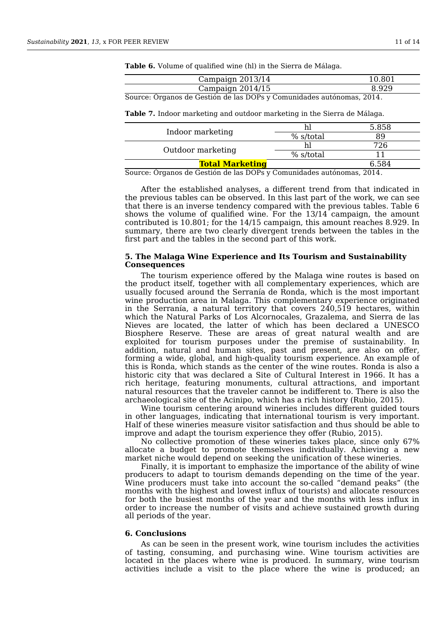| ш |
|---|
|---|

**Table 6.** Volume of qualified wine (hl) in the Sierra de Málaga.

| Campaign 2013/14                                                      | 10.801 |
|-----------------------------------------------------------------------|--------|
| Campaign 2014/15                                                      | 8.929  |
| Source: Órganos de Gestión de las DOPs y Comunidades autónomas, 2014. |        |

**Table 7.** Indoor marketing and outdoor marketing in the Sierra de Málaga.

| Indoor marketing                                                                                                                                                                                                                           |           | 5.858 |  |
|--------------------------------------------------------------------------------------------------------------------------------------------------------------------------------------------------------------------------------------------|-----------|-------|--|
|                                                                                                                                                                                                                                            | % s/total |       |  |
|                                                                                                                                                                                                                                            |           |       |  |
| Outdoor marketing                                                                                                                                                                                                                          | % s/total |       |  |
| <b>Total Marketing</b>                                                                                                                                                                                                                     |           | 6.584 |  |
| $0 \sim 0.000$ . $0 \sim 0.000$ . $0 \sim 0.000$ . $0 \sim 0.000$ . $0 \sim 0.000$ . $0.000$ . $0.000$ . $0.000$ . $0.000$ . $0.000$ . $0.000$ . $0.000$ . $0.000$ . $0.000$ . $0.000$ . $0.000$ . $0.000$ . $0.000$ . $0.000$ . $0.000$ . |           |       |  |

Source: Órganos de Gestión de las DOPs y Comunidades autónomas, 2014.

After the established analyses, a different trend from that indicated in the previous tables can be observed. In this last part of the work, we can see that there is an inverse tendency compared with the previous tables. Table 6 shows the volume of qualified wine. For the 13/14 campaign, the amount contributed is 10.801; for the 14/15 campaign, this amount reaches 8.929. In summary, there are two clearly divergent trends between the tables in the first part and the tables in the second part of this work.

## **5. The Malaga Wine Experience and Its Tourism and Sustainability Consequences**

The tourism experience offered by the Malaga wine routes is based on the product itself, together with all complementary experiences, which are usually focused around the Serranía de Ronda, which is the most important wine production area in Malaga. This complementary experience originated in the Serranía, a natural territory that covers 240,519 hectares, within which the Natural Parks of Los Alcornocales, Grazalema, and Sierra de las Nieves are located, the latter of which has been declared a UNESCO Biosphere Reserve. These are areas of great natural wealth and are exploited for tourism purposes under the premise of sustainability. In addition, natural and human sites, past and present, are also on offer, forming a wide, global, and high-quality tourism experience. An example of this is Ronda, which stands as the center of the wine routes. Ronda is also a historic city that was declared a Site of Cultural Interest in 1966. It has a rich heritage, featuring monuments, cultural attractions, and important natural resources that the traveler cannot be indifferent to. There is also the archaeological site of the Acinipo, which has a rich history (Rubio, 2015).

Wine tourism centering around wineries includes different guided tours in other languages, indicating that international tourism is very important. Half of these wineries measure visitor satisfaction and thus should be able to improve and adapt the tourism experience they offer (Rubio, 2015).

No collective promotion of these wineries takes place, since only 67% allocate a budget to promote themselves individually. Achieving  $\ddot{a}$  new market niche would depend on seeking the unification of these wineries.

Finally, it is important to emphasize the importance of the ability of wine producers to adapt to tourism demands depending on the time of the year. Wine producers must take into account the so-called "demand peaks" (the months with the highest and lowest influx of tourists) and allocate resources for both the busiest months of the year and the months with less influx in order to increase the number of visits and achieve sustained growth during all periods of the year.

#### **6. Conclusions**

As can be seen in the present work, wine tourism includes the activities of tasting, consuming, and purchasing wine. Wine tourism activities are located in the places where wine is produced. In summary, wine tourism activities include a visit to the place where the wine is produced; an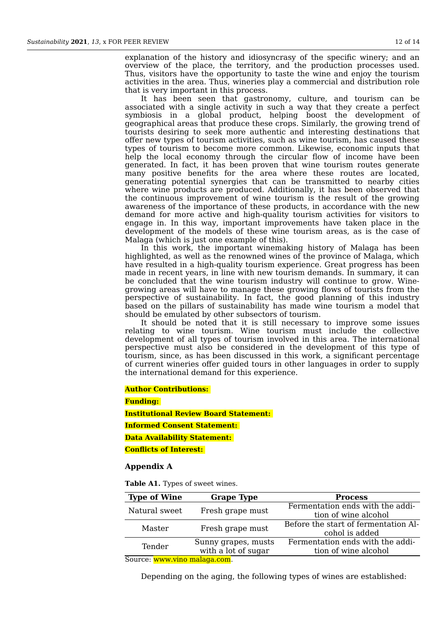explanation of the history and idiosyncrasy of the specific winery; and an overview of the place, the territory, and the production processes used. Thus, visitors have the opportunity to taste the wine and enjoy the tourism activities in the area. Thus, wineries play a commercial and distribution role that is very important in this process.

It has been seen that gastronomy, culture, and tourism can be associated with a single activity in such a way that they create a perfect symbiosis in a global product, helping boost the development of geographical areas that produce these crops. Similarly, the growing trend of tourists desiring to seek more authentic and interesting destinations that offer new types of tourism activities, such as wine tourism, has caused these types of tourism to become more common. Likewise, economic inputs that help the local economy through the circular flow of income have been generated. In fact, it has been proven that wine tourism routes generate many positive benefits for the area where these routes are located, generating potential synergies that can be transmitted to nearby cities where wine products are produced. Additionally, it has been observed that the continuous improvement of wine tourism is the result of the growing awareness of the importance of these products, in accordance with the new demand for more active and high-quality tourism activities for visitors to engage in. In this way, important improvements have taken place in the development of the models of these wine tourism areas, as is the case of Malaga (which is just one example of this).

In this work, the important winemaking history of Malaga has been highlighted, as well as the renowned wines of the province of Malaga, which have resulted in a high-quality tourism experience. Great progress has been made in recent years, in line with new tourism demands. In summary, it can be concluded that the wine tourism industry will continue to grow. Winegrowing areas will have to manage these growing flows of tourists from the perspective of sustainability. In fact, the good planning of this industry based on the pillars of sustainability has made wine tourism a model that should be emulated by other subsectors of tourism.

It should be noted that it is still necessary to improve some issues relating to wine tourism. Wine tourism must include the collective development of all types of tourism involved in this area. The international perspective must also be considered in the development of this type of tourism, since, as has been discussed in this work, a significant percentage of current wineries offer guided tours in other languages in order to supply the international demand for this experience.

**Author Contributions:**

**Funding:**

**Institutional Review Board Statement:**

**Informed Consent Statement:**

**Data Availability Statement:**

**Conflicts of Interest:**

#### **Appendix A**

**Table A1.** Types of sweet wines.

| <b>Type of Wine</b>        | <b>Grape Type</b>   | <b>Process</b>                       |
|----------------------------|---------------------|--------------------------------------|
| Natural sweet              | Fresh grape must    | Fermentation ends with the addi-     |
|                            |                     | tion of wine alcohol                 |
|                            |                     | Before the start of fermentation Al- |
| Master                     | Fresh grape must    | cohol is added                       |
| Tender                     | Sunny grapes, musts | Fermentation ends with the addi-     |
|                            | with a lot of sugar | tion of wine alcohol                 |
| Cource www.zino malaga.com |                     |                                      |

Source: www.vino malaga.com.

Depending on the aging, the following types of wines are established: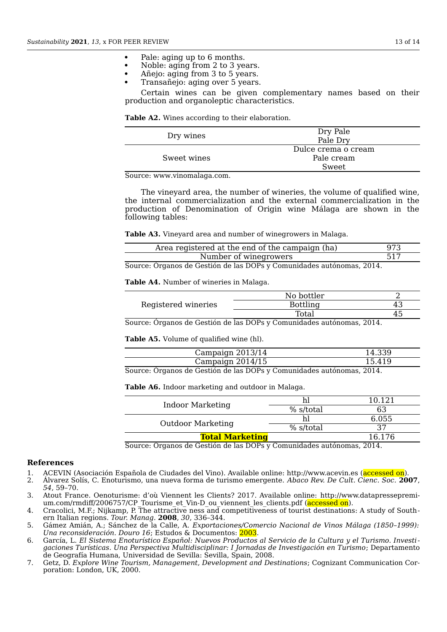- Pale: aging up to 6 months.
- Noble: aging from 2 to 3 years.
- Añejo: aging from 3 to 5 years.
- Transañejo: aging over 5 years.

Certain wines can be given complementary names based on their production and organoleptic characteristics.

**Table A2.** Wines according to their elaboration.

|             | Dry Pale            |
|-------------|---------------------|
| Dry wines   | Pale Dry            |
|             | Dulce crema o cream |
| Sweet wines | Pale cream          |
|             | <b>Sweet</b>        |

Source: www.vinomalaga.com.

The vineyard area, the number of wineries, the volume of qualified wine, the internal commercialization and the external commercialization in the production of Denomination of Origin wine Málaga are shown in the following tables:

**Table A3.** Vineyard area and number of winegrowers in Malaga.

| Area registered at the end of the campaign (ha)                            |  |
|----------------------------------------------------------------------------|--|
| Number of winegrowers                                                      |  |
| $0 \sim 0.000$ $0 \sim 1.000$ $0 \sim 1.000$ $0 \sim 0.000$ $0 \sim 0.000$ |  |

Source: Órganos de Gestión de las DOPs y Comunidades autónomas, 2014.

**Table A4.** Number of wineries in Malaga.

|                     | No bottler |  |
|---------------------|------------|--|
| Registered wineries | Bottling   |  |
|                     | Total      |  |

Source: Órganos de Gestión de las DOPs y Comunidades autónomas, 2014.

**Table A5.** Volume of qualified wine (hl).

| Campaign 2013/14     |       |
|----------------------|-------|
| Campaign 2014/15     | .541c |
| $\Omega$ - - - - - - |       |

Source: Órganos de Gestión de las DOPs y Comunidades autónomas, 2014.

**Table A6.** Indoor marketing and outdoor in Malaga.

| Indoor Marketing<br><b>Outdoor Marketing</b> |           | 10.121 |
|----------------------------------------------|-----------|--------|
|                                              | % s/total |        |
|                                              |           | 6.055  |
|                                              | % s/total | דפ     |
| <b>Total Marketing</b>                       |           | 16 176 |
|                                              |           |        |

Source: Órganos de Gestión de las DOPs y Comunidades autónomas, 2014.

#### **References**

- 1. ACEVIN (Asociación Española de Ciudades del Vino). Available online: [http://www.acevin.es](http://www.acevin.es/) (<mark>accessed on</mark>)<br>2. Álvarez Solís, C. Enoturismo, una nueva forma de turismo emergente. *Abaco Rev. De Cult. Cienc. Soc.* 2
- 2. Álvarez Solís, C. Enoturismo, una nueva forma de turismo emergente. *Abaco Rev. De Cult. Cienc. Soc.* **2007**, *54*, 59–70.
- 3. Atout France. Oenoturisme: d'où Viennent les Clients? 2017. Available online: [http://www.datapressepremi](http://www.datapressepremium.com/rmdiff/2006757/CP_Tourisme_et_Vin-D_ou_viennent_les_clients.pdf)um.com/rmdiff/2006757/CP Tourisme et Vin-D ou viennent les clients.pdf (accessed on).
- 4. Cracolici, M.F.; Nijkamp, P. The attractive ness and competitiveness of tourist destinations: A study of Southern Italian regions. *Tour. Manag.* **2008**, *30*, 336–344.
- 5. Gámez Amián, A.; Sánchez de la Calle, A. *Exportaciones/Comercio Nacional de Vinos Málaga (1850–1999): Una reconsideración. Douro 16*; Estudos & Documentos: 2003.
- 6. García, L. *El Sistema Enoturístico Español: Nuevos Productos al Servicio de la Cultura y el Turismo. Investigaciones Turísticas. Una Perspectiva Multidisciplinar: I Jornadas de Investigación en Turismo*; Departamento de Geografía Humana, Universidad de Sevilla: Sevilla, Spain, 2008.
- 7. Getz, D. *Explore Wine Tourism, Management, Development and Destinations*; Cognizant Communication Corporation: London, UK, 2000.